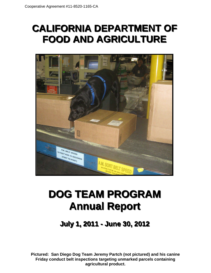# **CALIFORNIA DEPARTMENT OF FOOD AND AGRICULTURE**



# **DOG TEAM PROGRAM Annual Report**

# **JJuullyy 11,, 22001111 -- JJuunnee 3300,, 22001122**

**Pictured: San Diego Dog Team Jeremy Partch (not pictured) and his canine Friday conduct belt inspections targeting unmarked parcels containing agricultural product.**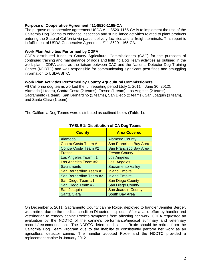## **Purpose of Cooperative Agreement #11-8520-1165-CA**

The purpose of cooperative agreement USDA #11-8520-1165-CA is to implement the use of the California Dog Teams to enhance inspection and surveillance activities related to plant products entering the State of California via parcel delivery facilities and airfreight terminals. This report is in fulfillment of USDA Cooperative Agreement #11-8520-1165-CA.

## **Work Plan Activities Performed by CDFA**

CDFA distributed funds to County Agricultural Commissioners (CAC) for the purposes of continued training and maintenance of dogs and fulfilling Dog Team activities as outlined in the work plan. CDFA acted as the liaison between CAC and the National Detector Dog Training Center (NDDTC) and was responsible for communicating significant pest finds and smuggling information to USDA/SITC.

## **Work Plan Activities Performed by County Agricultural Commissioners**

All California dog teams worked the full reporting period (July 1, 2011 – June 30, 2012): Alameda (1 team), Contra Costa (2 teams), Fresno (1 team), Los Angeles (2 teams), Sacramento (1 team), San Bernardino (2 teams), San Diego (2 teams), San Joaquin (1 team), and Santa Clara (1 team).

The California Dog Teams were distributed as outlined below **(Table 1)**.

| <b>County</b>               | <b>Area Covered</b>       |  |
|-----------------------------|---------------------------|--|
| Alameda                     | <b>Alameda County</b>     |  |
| <b>Contra Costa Team #1</b> | San Francisco Bay Area    |  |
| Contra Costa Team #2        | San Francisco Bay Area    |  |
| Fresno                      | <b>Fresno County</b>      |  |
| Los Angeles Team #1         | Los Angeles               |  |
| Los Angeles Team #2         | Los Angeles               |  |
| Sacramento                  | <b>Sacramento Valley</b>  |  |
| San Bernardino Team #1      | <b>Inland Empire</b>      |  |
| San Bernardino Team #2      | <b>Inland Empire</b>      |  |
| San Diego Team #1           | <b>San Diego County</b>   |  |
| San Diego Team #2           | <b>San Diego County</b>   |  |
| San Joaquin                 | <b>San Joaquin County</b> |  |
| Santa Clara                 | South Bay Area            |  |

## **TABLE 1: Distribution of CA Dog Teams**

On December 5, 2011, Sacramento County canine Roxie, deployed to handler Jennifer Berger, was retired due to the medical condition Diabetes Insipidus. After a valid effort by handler and veterinarian to remedy canine Roxie's symptoms from affecting her work, CDFA requested an evaluation by the NDDTC of the canine's performance/medical summary and veterinary records/recommendation. The NDDTC determined canine Roxie should be retired from the California Dog Team Program due to the inability to consistently perform her work as an agricultural detector canine. The handler adopted Roxie and the NDDTC provided a replacement canine in January 2012.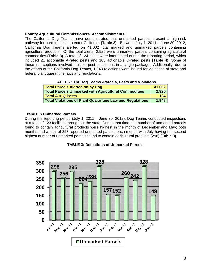## **County Agricultural Commissioners' Accomplishments:**

The California Dog Teams have demonstrated that unmarked parcels present a high-risk pathway for harmful pests to enter California **(Table 2)**. Between July 1, 2011 – June 30, 2012, California Dog Teams alerted on 41,002 total marked and unmarked parcels containing agricultural products. Of the total alerts, 2,925 were unmarked parcels containing agricultural commodities **(Table 3)**. A total of 124 pests were intercepted during the reporting period, which included 21 actionable A-rated pests and 103 actionable Q-rated pests **(Table 4)**. Some of these interceptions involved multiple pest specimens in a single package. Additionally, due to the efforts of the California Dog Teams, 1,948 rejections were issued for violations of state and federal plant quarantine laws and regulations.

## **TABLE 2: CA Dog Teams -Parcels, Pests and Violations**

| <b>Total Parcels Alerted on by Dog</b>                          | 41,002 |
|-----------------------------------------------------------------|--------|
| <b>Total Parcels Unmarked with Agricultural Commodities</b>     | 2,925  |
| <b>Total A &amp; Q Pests</b>                                    | 124    |
| <b>Total Violations of Plant Quarantine Law and Regulations</b> | 1,948  |

## **Trends in Unmarked Parcels**

During the reporting period (July 1, 2011 – June 30, 2012), Dog Teams conducted inspections at a total of 123 facilities throughout the state. During that time, the number of unmarked parcels found to contain agricultural products were highest in the month of December and May; both months had a total of 328 reported unmarked parcels each month, with July having the second highest number of unmarked parcels found to contain agricultural products (298) **(Table 3).**

## **TABLE 3: Detections of Unmarked Parcels**

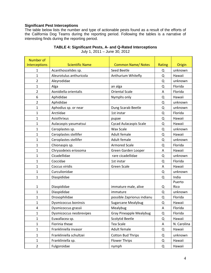## **Significant Pest Interceptions**

The table below lists the number and type of actionable pests found as a result of the efforts of the California Dog Teams during the reporting period. Following the tables is a narrative of interesting finds during the reporting period.

| Number of            |                         |                                |        |             |
|----------------------|-------------------------|--------------------------------|--------|-------------|
| <b>Interceptions</b> | <b>Scientific Name</b>  | <b>Common Name/ Notes</b>      | Rating | Origin      |
| 1                    | Acanthoscelides sp.     | Seed Beetle                    | Q      | unknown     |
| $\mathbf{1}$         | Aleurotulus anthuricola | Anthurium Whitefly             | Q      | Hawaii      |
| $\overline{2}$       | Aleyrodidae             |                                | Q      | unknown     |
| $\mathbf{1}$         | Alga                    | an alga                        | Q      | Florida     |
| $\overline{2}$       | Aonidiella orientalis   | <b>Oriental Scale</b>          | Α      | Florida     |
| 6                    | Aphididae               | Nymphs only                    | Q      | Hawaii      |
| $\overline{2}$       | Aphididae               |                                | Q      | unknown     |
| $\mathbf{1}$         | Aphodius sp. or near    | Dung Scarab Beetle             | Q      | unknown     |
| $\mathbf{1}$         | Arctiidae               | 1st instar                     | Q      | Florida     |
| $\mathbf{1}$         | Asiothrixus             | pupae                          | Q      | Hawaii      |
| $\mathbf{1}$         | Aulacaspis yasumatsui   | Cycad Aulacaspis Scale         | Q      | Hawaii      |
| $\mathbf{1}$         | Ceroplastes sp.         | <b>Wax Scale</b>               | Q      | unknown     |
| 1                    | Ceroplastes stellifer   | Adult female                   | Q      | Hawaii      |
| $\mathbf{1}$         | Ceroplastes stellifer   | Adult female                   | Q      | unknown     |
| $\mathbf{1}$         | Chionaspis sp.          | <b>Armored Scale</b>           | Q      | Florida     |
| $\mathbf{1}$         | Chrysodeixis eriosoma   | Green Garden Looper            | Α      | Hawaii      |
| $\mathbf{1}$         | Cicadellidae            | rare cicadellidae              | Q      | unknown     |
| $\mathbf{1}$         | Coccidae                | 1st instar                     | Q      | Florida     |
| $\mathbf{1}$         | Coccus viridis          | <b>Green Scale</b>             | Α      | Hawaii      |
| $\mathbf{1}$         | Curculionidae           |                                | Q      | unknown     |
| $\mathbf{1}$         | Diaspididae             |                                | Q      | India       |
|                      |                         |                                |        | Puerto      |
| $\mathbf{1}$         | Diaspididae             | immature male, alive           | Q      | Rico        |
| $\mathbf{1}$         | Diaspididae             | immature                       | Q      | unknown     |
| $\mathbf{1}$         | Drosophilidae           | possible Zaprionus indianu     | Q      | Florida     |
| $\mathbf{1}$         | Dysmicoccus boninsis    | <b>Sugarcane Mealybug</b>      | Q      | Hawaii      |
| 4                    | Dysmicoccus grassii     | Mealybug                       | Α      | Florida     |
| $\mathbf{1}$         | Dysmicoccus neobrevipes | <b>Gray Pineapple Mealybug</b> | Q      | Florida     |
| $\mathbf{1}$         | Euwallacea sp.          | Scolytid Beetle                | Q      | Hawaii      |
| $\mathbf 1$          | Fiorinia theae          | Tea Scale                      | Α      | N. Carolina |
| $\mathbf{1}$         | Frankliniella invasor   | Adult female                   | Q      | Hawaii      |
| $\mathbf{1}$         | Frankliniella schultzei | <b>Cotton Bud Thrips</b>       | Q      | unknown     |
| $\mathbf 1$          | Frankliniella sp.       | <b>Flower Thrips</b>           | Q      | Hawaii      |
| $\overline{2}$       | Fulgoroidae             | nymph                          | Q      | Hawaii      |

**TABLE 4: Significant Pests, A- and Q-Rated Interceptions**  July 1, 2011 – June 30, 2012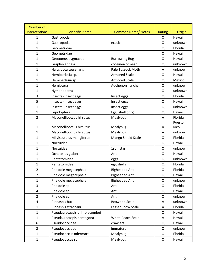| Number of      |                               |                           |        |         |
|----------------|-------------------------------|---------------------------|--------|---------|
| Interceptions  | <b>Scientific Name</b>        | <b>Common Name/ Notes</b> | Rating | Origin  |
| $\mathbf{1}$   | Gastropoda                    |                           | Q      | Hawaii  |
| $\mathbf{1}$   | Gastropoda                    | exotic                    | Q      | unknown |
| $\mathbf{1}$   | Geometridae                   |                           | Q      | Florida |
| $\mathbf 1$    | Geometridae                   |                           | Q      | Hawaii  |
| 1              | Geotomus pygmaeus             | <b>Burrowing Bug</b>      | Q      | Hawaii  |
| 1              | Graphocephala                 | coceinea or near          | Q      | unknown |
| $\mathbf{1}$   | Halysidota tessellaris        | Pale Tussock Moth         | Α      | unknown |
| 1              | Hemiberlesia sp.              | <b>Armored Scale</b>      | Q      | Hawaii  |
| 1              | Hemiberlesia sp.              | <b>Armored Scale</b>      | Q      | Mexico  |
| 1              | Hemiptera                     | Auchenorrhyncha           | Q      | unknown |
| $\mathbf{1}$   | Hymenoptera                   |                           | Q      | unknown |
| 3              | Insecta-Insect eggs           | Insect eggs               | Q      | Florida |
| 5              | Insecta-Insect eggs           | Insect eggs               | Q      | Hawaii  |
| $\mathbf{1}$   | Insecta-Insect eggs           | Insect eggs               | Q      | unknown |
| $\mathbf 1$    | Lepidoptera                   | Egg (shell only)          | Q      | Hawaii  |
| $\overline{2}$ | Maconellicoccus hirsutus      | Mealybug                  | Α      | Florida |
|                |                               |                           |        | Puerto  |
| 1              | Maconellicoccus hirsutus      | Mealybug                  | Α      | Rico    |
| $\mathbf 1$    | Maconellicoccus hirsutus      | Mealybug                  | Α      | unknown |
| 1              | Milviscutulus mangiferae      | Mango Shield Scale        | Q      | Florida |
| 1              | Noctuidae                     |                           | Q      | Hawaii  |
| $\mathbf 1$    | Noctuidae                     | 1st instar                | Q      | unknown |
| 1              | Ochetellus glaber             | Ant                       | Q      | Hawaii  |
| $\mathbf{1}$   | Pentatomidae                  | eggs                      | Q      | unknown |
| $\mathbf 1$    | Pentatomidae                  | egg shells                | Q      | Florida |
| 2              | Pheidole megacephala          | <b>Bigheaded Ant</b>      | Q      | Florida |
| $\overline{2}$ | Pheidole megacephala          | <b>Bigheaded Ant</b>      | Q      | Hawaii  |
| $\mathbf{1}$   | Pheidole megacephala          | <b>Bigheaded Ant</b>      | Q      | unknown |
| 3              | Pheidole sp.                  | Ant                       | Q      | Florida |
| 4              | Pheidole sp.                  | Ant                       | Q      | Hawaii  |
| $\overline{2}$ | Pheidole sp.                  | Ant                       | Q      | unknown |
| 4              | Pinnaspis buxi                | <b>Boxwood Scale</b>      | Α      | unknown |
| $\mathbf{1}$   | Pinnaspis strachani           | Lesser Snow Scale         | Α      | Florida |
| $\mathbf{1}$   | Pseudaulacaspis brimblecombei |                           | Q      | Hawaii  |
| $\mathbf 1$    | Pseudaulacaspis pentagona     | White Peach Scale         | Α      | Hawaii  |
| 6              | Pseudococcidae                | crawlers                  | Q      | Hawaii  |
| $\overline{2}$ | Pseudococcidae                | immature                  | Q      | unknown |
| $\mathbf{1}$   | Pseudococcus odermatti        | Mealybug                  | Q      | Florida |
| $\mathbf 1$    | Pseudococcus sp.              | Mealybug                  | Q      | Hawaii  |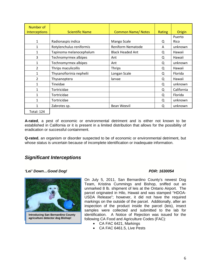| Number of            |                          |                          |        |            |
|----------------------|--------------------------|--------------------------|--------|------------|
| <b>Interceptions</b> | <b>Scientific Name</b>   | <b>Common Name/Notes</b> | Rating | Origin     |
|                      |                          |                          |        | Puerto     |
| 1                    | Radionaspis indica       | Mango Scale              | Q      | Rico       |
| 1                    | Rotylenchulus reniformis | <b>Reniform Nematode</b> | A      | unknown    |
| 1                    | Tapinoma melanocephalum  | <b>Black Headed Ant</b>  | Q      | Hawaii     |
| 3                    | Technomyrmex albipes     | Ant                      | Q      | Hawaii     |
| $\mathbf{1}$         | Technomyrmex albipes     | Ant                      | Q      | unknown    |
| 2                    | Thrips maculicollis      | <b>Thrips</b>            | Q      | Hawaii     |
| 1                    | Thysanofiorinia nephelii | Longan Scale             | Q      | Florida    |
| $\overline{2}$       | Thysanoptera             | larvae                   | Q      | Hawaii     |
| 1                    | Tineidae                 |                          | Q      | unknown    |
| 1                    | Tortricidae              |                          | Q      | California |
| 1                    | Tortricidae              |                          | Q      | Florida    |
| 1                    | Tortricidae              |                          | Q      | unknown    |
| 1                    | Zabrotes sp.             | <b>Bean Weevil</b>       | Q      | unknown    |
| <b>Total: 124</b>    |                          |                          |        |            |

**A-rated**, a pest of economic or environmental detriment and is either not known to be established in California or it is present in a limited distribution that allows for the possibility of eradication or successful containment.

**Q-rated**, an organism or disorder suspected to be of economic or environmental detriment, but whose status is uncertain because of incomplete identification or inadequate information.

## *Significant Interceptions*

## *'Lei' Down…Good Dog! PDR: 1630054*



**Introducing San Bernardino County agriculture detector dog Bishop!**

On July 5, 2011, San Bernardino County's newest Dog Team, Kristina Cummings and Bishop, sniffed out an unmarked 8 lb. shipment of leis at the Ontario Airport. The parcel originated in Hilo, Hawaii and was stamped "HDOA-USDA Release"; however, it did not have the required markings on the outside of the parcel. Additionally, after an inspection of the product inside the parcel (leis), insect samples were collected and submitted to the lab for identification. A Notice of Rejection was issued for the following CA Food and Agriculture Codes (FAC):

- CA FAC 6421, Markings
- CA FAC 6461.5, Live Pests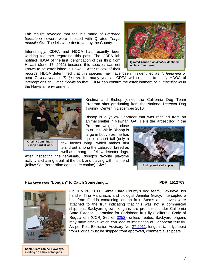Lab results revealed that the leis made of *Fragraea berteriana* flowers were infested with Q-rated *Thrips maculicollis*. The leis were destroyed by the County.

Interestingly, CDFA and HDOA had recently been working together regarding this pest. The CDFA lab notified HDOA of the first identification of this thrip from Hawaii (June 17, 2011) because this species was not known to be established in Hawaii. After review of their



**on leis from Hawaii**

records, HDOA determined that this species may have been misidentified as *T. leeuweni* or near *T. leeuweni* or *Thrips sp*. for many years. CDFA will continue to notify HDOA of interceptions of *T. maculicollis* so that HDOA can confirm the establishment of *T. maculicollis* in the Hawaiian environment.



**Kristina Cumming & Bishop hard at work** Kristina and Bishop joined the California Dog Team Program after graduating from the National Detector Dog Training Center in December 2010.

Bishop is a yellow Labrador that was rescued from an animal shelter in Newnan, GA. He is the largest dog in the

Program weighing close to 80 lbs. While Bishop is large in body size, he has quite a short tail (only a

few inches long!) which makes him stand out among the Labrador breed as well as among his fellow detector dogs.

After inspecting the terminals, Bishop's favorite playtime activity is chasing a ball at the park and playing with his friend (fellow San Bernardino agriculture canine) "Kiwi".



**Bishop and Kiwi at play!**

## **Hawkeye was "Longan" to Catch Something... PDR: 1512703**



**Santa Clara canine, Hawkeye, alerting on a box of longans**

On July 26, 2011, Santa Clara County's dog team, Hawkeye, his handler Tino Manchaca, and biologist Jennifer Gracy, intercepted a box from Florida containing longan fruit. Stems and leaves were attached to the fruit indicating that this was not a commercial shipment. Backyard grown longans are prohibited under California State Exterior Quarantine for Caribbean fruit fly (California Code of Regulations (CCR) Section [3252](http://pi.cdfa.ca.gov/pqm/manual/pdf/303.pdf)), unless treated. Backyard longans may have cracks which can lead to infestation of Caribbean fruit fly. As per Pest Exclusion Advisory No. [27-2011](http://www.cdfa.ca.gov/countyag/postings/files/PEA_27-2011_Flor.pdf), longans (and lychees) from Florida must be shipped from approved, commercial shippers.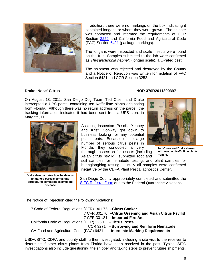

In addition, there were no markings on the box indicating it contained longans or where they were grown. The shipper was contacted and informed the requirements of CCR Section [3252](http://pi.cdfa.ca.gov/pqm/manual/pdf/303.pdf) and California Food and Agricultural Code (FAC) Section [6421](http://www.leginfo.ca.gov/cgi-bin/displaycode?section=fac&group=06001-07000&file=6421) (package markings).

The longans were inspected and scale insects were found on the fruit. Samples submitted to the lab were confirmed as *Thysanofiorinia nephelii* (longan scale), a Q-rated pest.

The shipment was rejected and destroyed by the County and a Notice of Rejection was written for violation of FAC Section 6421 and CCR Section 3252.

## **Drake 'Nose' Citrus North City Construction City Construction City Construction NOR 370R2011800397**

On August 18, 2011, San Diego Dog Team Ted Olsen and Drake intercepted a UPS parcel containing ten Kaffir lime plants originating from Florida. Although there was no return address on the parcel, the tracking information indicated it had been sent from a UPS store in Margate, FL.

> Assisting inspectors Priscilla Yeaney and Kristi Conway got down to business looking for any potential pest threats. Because of the large number of serious citrus pests in Florida, they conducted a very

thorough inspection for insects (including Asian citrus psyllid), submitted root and soil samples for nematode testing, and plant samples for



**Ted Olsen and Drake shown with rejected Kaffir lime plants from FL**

**Drake demonstrates how he detects unmarked parcels containing agricultural commodities by using his nose**

San Diego County appropriately completed and submitted the [SITC Referral Form](http://phpps.cdfa.ca.gov/PE/InteriorExclusion/CPTM/pdf/S0-155USDASITCFORM.pdf) due to the Federal Quarantine violations.

huanglongbing testing. Luckily all samples were confirmed

**negative** by the CDFA Plant Pest Diagnostics Center.

The Notice of Rejection cited the following violations:

7 Code of Federal Regulations (CFR) 301.75 --**Citrus Canker** 7 CFR 301.76 --**Citrus Greening and Asian Citrus Psyllid** 7 CFR 301.81 --**Imported Fire Ant** California Code of Regulations (CCR) 3250 CCR 3271 --**Burrowing and Reniform Nematode** CA Food and Agriculture Code (FAC) 6421 --**Interstate Marking Requirements**

USDA/SITC, CDFA and county staff further investigated, including a site visit to the receiver to determine if other citrus plants from Florida have been received in the past. Typical SITC investigations also include questioning the shipper and taking steps to prevent future shipments.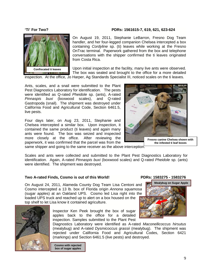# **Confiscated ti leaves**

## **'Ti' For Two? PDRs: 1561615-7, 619, 621, 623-624**

On August 19, 2011, Stephanie LeBarron, Fresno Dog Team handler, and her four-legged companion Chelsea intercepted a box containing *Cordyline* sp. (ti) leaves while working at the Fresno OnTrac terminal. Paperwork gathered from the box and telephone conversations with the shipper confirmed the ti leaves originated from Costa Rica.

Upon initial inspection at the facility, many live ants were observed. The box was sealed and brought to the office for a more detailed

inspection. At the office, Jo Harper, Ag Standards Specialist III, noticed scales on the ti leaves.

Ants, scales, and a snail were submitted to the Plant Pest Diagnostics Laboratory for identification. The pests were identified as Q-rated *Pheidole* sp. (ants), A-rated *Pinnaspis buxi* (boxwood scales), and Q-rated Gastropoda (snail). The shipment was destroyed under California Food and Agricultural Code, Section 6461.5, live pests.

Four days later, on Aug 23, 2011, Stephanie and Chelsea intercepted a similar box. Upon inspection, it contained the same product (ti leaves) and again many ants were found. The box was seized and inspected more closely at the office. After reviewing the paperwork, it was confirmed that the parcel was from the



**the infested ti leaf boxes**

same shipper and going to the same receiver as the above interception.

Scales and ants were collected and submitted to the Plant Pest Diagnostics Laboratory for identification. Again, A-rated *Pinnaspis buxi* (boxwood scales) and Q-rated *Pheidole* sp. (ants) were identified. The shipment was destroyed.

## **Two A-rated Finds, Cosmo is out of this World! PDRs: 1583275 - 1583276**

On August 24, 2011, Alameda County Dog Team Lisa Centoni and Cosmo intercepted a 13 lb. box of Florida origin *Annona squamosa* (sugar apples) at an Oakland UPS. Cosmo led Lisa right into the loaded UPS truck and reached up to alert on a box housed on the top shelf to let Lisa know it contained agriculture.



Inspector Ken Peek brought the box of sugar apples back to the office for a detailed inspection. Samples submitted to the Plant Pest

Diagnostics Laboratory were identified as A-rated *Maconellicoccus hirsutus* (mealybug) and A-rated *Dysmicoccus grassii* (mealybug). The shipment was rejected under California Food and Agricultural Codes, Section 6421 (markings) and Section 6461.5 (live pests) and destroyed.

**Cosmo with rejected box of sugar apples**

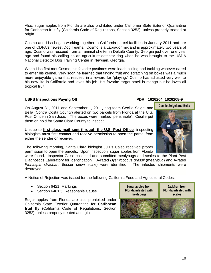Also, sugar apples from Florida are also prohibited under California State Exterior Quarantine for Caribbean fruit fly (California Code of Regulations, Section 3252), unless properly treated at origin.

Cosmo and Lisa began working together in California parcel facilities in January 2011 and are one of CDFA's newest Dog Teams. Cosmo is a Labrador mix and is approximately two years of age. Cosmo was rescued from an animal shelter in Dekalb County, Georgia just over one year ago and found his calling as an agriculture detector dog when he was brought to the USDA National Detector Dog Training Center in Newnan, Georgia.

When Lisa first met Cosmo, his favorite pastimes were leash pulling and tackling whoever dared to enter his kennel. Very soon he learned that finding fruit and scratching on boxes was a much more enjoyable game that resulted in a reward for "playing." Cosmo has adjusted very well to his new life in California and loves his job. His favorite target smell is mango but he loves all tropical fruit.

## USPS Inspections Paying Off **PDR: 1626204, 1626208-9**

On August 31, 2011 and September 1, 2011, dog team Cecilie Seigel and Bella (Contra Costa County) alerted on two parcels from Florida at the U.S. Post Office in San Jose. The boxes were marked 'perishable'. Cecilie put them on hold for Santa Clara County to inspect.

Unique to **first-class mail sent through the U.S. Post Office**, inspecting biologists must first contact and receive permission to open the parcel from either the sender or receiver.

The following morning, Santa Clara biologist Julius Calso received proper permission to open the parcels. Upon inspection, sugar apples from Florida

were found. Inspector Calso collected and submitted mealybugs and scales to the Plant Pest Diagnostics Laboratory for identification. A-rated *Dysmicoccus grassii* (mealybug) and A-rated *Pinnaspis strachani* (lesser snow scale) were identified. The infested shipments were destroyed.

A Notice of Rejection was issued for the following California Food and Agricultural Codes:

- Section 6421, Markings
- Section 6461.5, Reasonable Cause

Sugar apples from Florida are also prohibited under California State Exterior Quarantine for **Caribbean fruit fly** (California Code of Regulations, Section 3252), unless properly treated at origin.



**Cecilie Seigel and Bella**

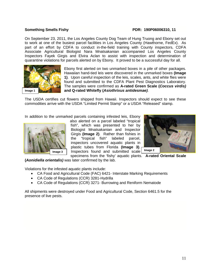## **Something Smells Fishy PDR: 190P06006310, 11**

On September 23, 2011, the Los Angeles County Dog Team of Hung Truong and Ebony set out to work at one of the busiest parcel facilities in Los Angeles County (Hawthorne, FedEx). As part of an effort by CDFA to conduct in-the-field training with County inspectors, CDFA Associate Agricultural Biologist Nara Mnatsakanian accompanied Los Angeles County Inspectors Fayek Girgis and Elvira Aclan to assist with inspection and determination of quarantine violations for parcels alerted on by Ebony. It proved to be a successful day for all.



Ebony first alerted on two unmarked boxes in a pile of other packages. Hawaiian hand-tied leis were discovered in the unmarked boxes **(Image 1)**. Upon careful inspection of the leis, scales, ants, and white flies were found and submitted to the CDFA Plant Pest Diagnostics Laboratory. The samples were confirmed as **A-rated Green Scale (***Coccus virdis)* **and Q-rated Whitefly (***Asiothrixus antidesmae)*.

The USDA certifies cut flowers shipped from Hawaii. Inspectors should expect to see these commodities arrive with the USDA "Limited Permit Stamp" or a USDA "Released" stamp.

In addition to the unmarked parcels containing infested leis, Ebony



also alerted on a parcel labeled "tropical fish", which was presented to her by Biologist Mnatsakanian and Inspector Girgis **(Image 2)**. Rather than fishies in the "tropical fish" labeled parcel, inspectors uncovered aquatic plants in plastic tubes from Florida **(Image 3)**. Inspectors found and submitted scale **Image 2 Image <sup>3</sup>**



specimens from the 'fishy' aquatic plants. **A-rated Oriental Scale** 

**(***Aonidiella orientalis)* was later confirmed by the lab.

Violations for the infested aquatic plants include:

- CA Food and Agricultural Code (FAC) 6421- Interstate Marking Requirements
- CA Code of Regulations (CCR) 3281-Hydrilla
- CA Code of Regulations (CCR) 3271- Burrowing and Reniform Nematode

All shipments were destroyed under Food and Agricultural Code, Section 6461.5 for the presence of live pests.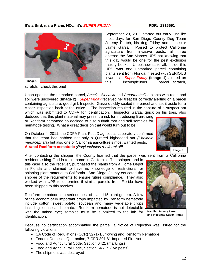## **It's a Bird, it's a Plane, NO… it's** *SUPER FRIDAY***! PDR: 1316691**



scratch…check this one!

September 29, 2011 started out early just like most days for San Diego County Dog Team Jeremy Partch, his dog Friday and Inspector Jaime Garza. Poised to protect California agriculture from invasive pests, all three entered the San Marcos UPS not knowing that this day would be one for the pest exclusion history books. Unbeknownst to all, inside this UPS was one unmarked parcel containing plants sent from Florida infested with SERIOUS invaders! *Super Friday* **(Image 1)** alerted on this inconspicuous parcel…scratch,

Upon opening the unmarked parcel, *Acacia, Alocasia* and *Amorthothallus* plants with roots and soil were uncovered **(Image 2)**. *Super Friday* received her treat for correctly alerting on a parcel containing agriculture; good girl. Inspector Garza quickly sealed the parcel and set it aside for a closer inspection back at the office. The inspection resulted in the capture of a suspect ant which was submitted to CDFA for identification. Inspector Garza, quick on his toes, also

deduced that this plant material may present a risk for introducing Burrowing or Reniform nematode so decided to also submit root and soil samples for nematode testing. What a great decision that would turn out to be!

On October 4, 2011, the CDFA Plant Pest Diagnostics Laboratory confirmed that the team had nabbed not only a Q-rated bigheaded ant *(Pheidole megacephala*) but also one of California agriculture's most wanted pests, **A-rated Reniform nematode** *(Rotylenchulus reniformis*)!!!



After contacting the shipper, the County learned that the parcel was sent from a California

resident visiting Florida to his home in California. The shipper, and in this case also the receiver, purchased the plants from a Home Depot in Florida and claimed to have no knowledge of restrictions for shipping plant material to California. San Diego County educated the shipper of the requirements to ensure future compliance. They also worked with UPS to determine if similar parcels from Florida have been shipped to this receiver.

Reniform nematode is a serious pest of over 115 plant genera. A few of the economically important crops impacted by Reniform nematode include cotton, sweet potato, soybean and many vegetable crops including lettuce and tomato. Reniform nematode is not detectable with the naked eye; samples must be submitted to the lab for identification.



**Handler Jeremy Partch and incognito Super Friday**

Because no certification accompanied the parcel, a Notice of Rejection was issued for the following violations:

- CA Code of Regulations (CCR) 3271- Burrowing and Reniform Nematode
- Federal Domestic Quarantine, 7 CFR 301.81 Imported Fire Ant
- Food and Agricultural Code, Section 6421 (markings)
- Food and Agricultural Code, Section 6461.5 (live pests)
- The shipment was destroyed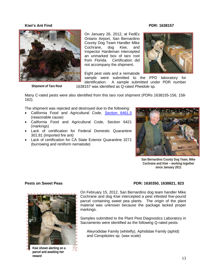## **Kiwi's Ant Find PDR: 1638157**



On January 26, 2012, at FedEx Ontario Airport, San Bernardino County Dog Team Handler Mike Cochrane, dog Kiwi, and Inspector Hardeman intercepted an unmarked box of taro root from Florida. Certification did not accompany the shipment.



Eight pest vials and a nematode

sample were submitted to the PPD laboratory for identification. A sample submitted under PDR number 1638157 was identified as Q-rated *Pheidole* sp.

**Shipment of Taro Root**

162).

Many C-rated pests were also identified from this taro root shipment (PDRs 1638155-156, 158-

The shipment was rejected and destroyed due to the following:

- California Food and Agricultural Code, [Section 6461.5](http://www.leginfo.ca.gov/cgi-bin/displaycode?section=fac&group=06001-07000&file=6461-6465) (reasonable cause)
- California Food and Agricultural Code, Section 6421 (markings)
- Lack of certification for Federal Domestic Quarantine 301.81 (imported fire ant)
- Lack of certification for CA State Exterior Quarantine 3271 (burrowing and reniform nematode)



**San Bernardino County Dog Team, Mike Cochrane and Kiwi – working together since January 2011**



**Kiwi shown alerting on a parcel and awaiting her reward** 

## **Pests on Sweet Peas Propose Propose PDR: 1630350, 1638821, 823**

On February 15, 2012, San Bernardino dog team handler Mike Cochrane and dog Kiwi intercepted a pest infested five-pound parcel containing sweet pea plants. The origin of the plant material was unknown because the package lacked proper markings.

Samples submitted to the Plant Pest Diagnostics Laboratory in Sacramento were identified as the following Q-rated pests:

Aleyrodidae Family (whitefly), Aphididae Family (aphid) and C*eroplastes* sp. (wax scale)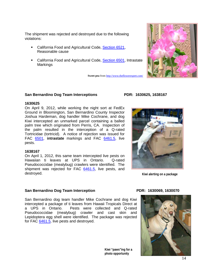The shipment was rejected and destroyed due to the following violations:

- California Food and Agricultural Code, [Section 6521,](http://www.leginfo.ca.gov/cgi-bin/displaycode?section=fac&group=06001-07000&file=6521-6524) Reasonable cause
- California Food and Agricultural Code, [Section 6501,](http://www.leginfo.ca.gov/cgi-bin/displaycode?section=fac&group=06001-07000&file=6501-6506) Intrastate **Markings**

**Sweet pea** fro[m http://www.theflowerexpert.com/](http://www.theflowerexpert.com/)

## **San Bernardino Dog Team Interceptions PDR: 1630625, 1638167**

## **1630625**

On April 9, 2012, while working the night sort at FedEx Ground in Bloomington, San Bernardino County Inspector Joshua Hardeman, dog handler Mike Cochrane, and dog Kiwi intercepted an unmarked parcel containing a balled palm tree which originated from Perris, CA. Inspection of the palm resulted in the interception of a Q-rated Tortricidae (tortricid). A notice of rejection was issued for FAC [6501,](http://www.leginfo.ca.gov/cgi-bin/displaycode?section=fac&group=06001-07000&file=6501-6506) **intrastate** markings and FAC [6461.5,](http://www.leginfo.ca.gov/cgi-bin/displaycode?section=fac&group=06001-07000&file=6461-6465) live pests.

## **1638167**

On April 1, 2012, this same team intercepted live pests on Hawaiian ti leaves at UPS in Ontario. Q-rated Pseudococcidae (mealybug) crawlers were identified. The shipment was rejected for FAC [6461.5,](http://www.leginfo.ca.gov/cgi-bin/displaycode?section=fac&group=06001-07000&file=6461-6465) live pests, and destroyed.

## **San Bernardino Dog Team Interception PDR: 1630069, 1630070**

San Bernardino dog team handler Mike Cochrane and dog Kiwi intercepted a package of ti leaves from Hawaii Tropicals Direct at Pests were collected and Q-rated Pseudococcidae (mealybug) crawler and cast skin and Lepidoptera egg shell were identified. The package was rejected for FAC [6461.5,](http://www.leginfo.ca.gov/cgi-bin/displaycode?section=fac&group=06001-07000&file=6461-6465) live pests and destroyed.

**Kiwi "paws"ing for a photo opportunity**



**Kiwi alerting on a package**





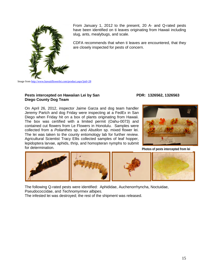

From January 1, 2012 to the present, 20 A- and Q-rated pests have been identified on ti leaves originating from Hawaii including slug, ants, mealybugs, and scale.

CDFA recommends that when ti leaves are encountered, that they are closely inspected for pests of concern.

Image fro[m http://www.hawaiiflowerlei.com/product.aspx?pid=28](http://www.hawaiiflowerlei.com/product.aspx?pid=28)

## **Pests intercepted on Hawaiian Lei by San PDR: 1326562, 1326563 Diego County Dog Team**

On April 26, 2012, inspector Jaime Garza and dog team handler Jeremy Partch and dog Friday were inspecting at a FedEx in San Diego when Friday hit on a box of plants originating from Hawaii. The box was certified with a limited permit (Oahu-0073) and contained cut flowers from Le Flowers in Honolulu. Samples were collected from a *Polianthes* sp. and *Abutilon* sp. mixed flower lei. The lei was taken to the county entomology lab for further review. Agricultural Scientist Tracy Ellis collected samples of leaf hopper, lepidoptera larvae, aphids, thrip, and homopteran nymphs to submit for determination.



 **Photos of pests intercepted from lei**



The following Q-rated pests were identified: Aphididae, Auchenorrhyncha, Noctuidae, Pseudococcidae, and *Technomyrmex albipes.* 

The infested lei was destroyed; the rest of the shipment was released.